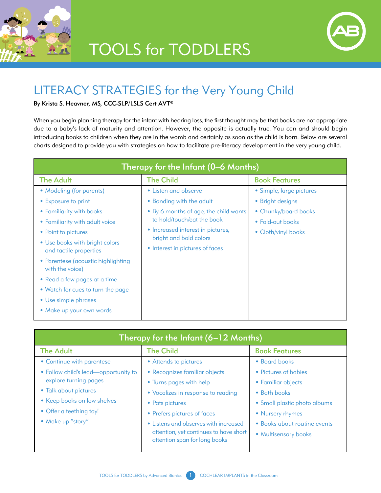

## **TOOLS for TODDLERS**



## LITERACY STRATEGIES for the Very Young Child

## By Krista S. Heavner, MS, CCC-SLP/LSLS Cert AVT®

When you begin planning therapy for the infant with hearing loss, the first thought may be that books are not appropriate due to a baby's lack of maturity and attention. However, the opposite is actually true. You can and should begin introducing books to children when they are in the womb and certainly as soon as the child is born. Below are several charts designed to provide you with strategies on how to facilitate pre-literacy development in the very young child.

| Therapy for the Infant (0–6 Months)                   |                                       |                          |  |  |
|-------------------------------------------------------|---------------------------------------|--------------------------|--|--|
| <b>The Adult</b>                                      | <b>The Child</b>                      | <b>Book Features</b>     |  |  |
| • Modeling (for parents)                              | • Listen and observe                  | • Simple, large pictures |  |  |
| • Exposure to print                                   | • Bonding with the adult              | • Bright designs         |  |  |
| • Familiarity with books                              | • By 6 months of age, the child wants | • Chunky/board books     |  |  |
| • Familiarity with adult voice                        | to hold/touch/eat the book            | • Fold-out books         |  |  |
| • Point to pictures                                   | • Increased interest in pictures,     | • Cloth/vinyl books      |  |  |
| • Use books with bright colors                        | bright and bold colors                |                          |  |  |
| and tactile properties                                | • Interest in pictures of faces       |                          |  |  |
| • Parentese (acoustic highlighting<br>with the voice) |                                       |                          |  |  |
| • Read a few pages at a time                          |                                       |                          |  |  |
| • Watch for cues to turn the page                     |                                       |                          |  |  |
| • Use simple phrases                                  |                                       |                          |  |  |
| • Make up your own words                              |                                       |                          |  |  |

| Therapy for the Infant (6–12 Months) |                                                                         |                              |  |  |
|--------------------------------------|-------------------------------------------------------------------------|------------------------------|--|--|
| <b>The Adult</b>                     | <b>The Child</b>                                                        | <b>Book Features</b>         |  |  |
| • Continue with parentese            | • Attends to pictures                                                   | • Board books                |  |  |
| • Follow child's lead-opportunity to | • Recognizes familiar objects                                           | • Pictures of babies         |  |  |
| explore turning pages                | • Turns pages with help                                                 | • Familiar objects           |  |  |
| • Talk about pictures                | • Vocalizes in response to reading                                      | • Bath books                 |  |  |
| • Keep books on low shelves          | • Pats pictures                                                         | • Small plastic photo albums |  |  |
| • Offer a teething toy!              | • Prefers pictures of faces                                             | • Nursery rhymes             |  |  |
| • Make up "story"                    | • Listens and observes with increased                                   | • Books about routine events |  |  |
|                                      | attention, yet continues to have short<br>attention span for long books | • Multisensory books         |  |  |